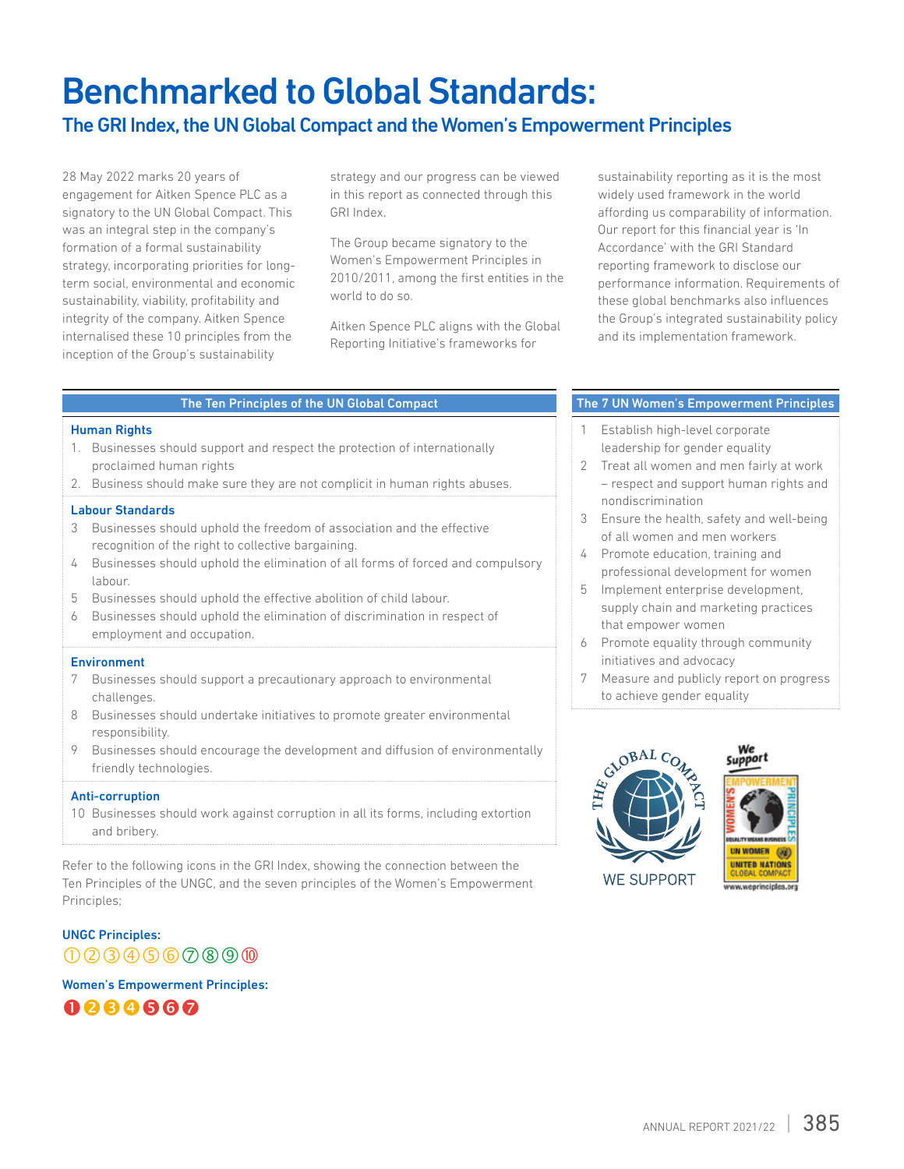# Benchmarked to Global Standards:

## The GRI Index, the UN Global Compact and the Women's Empowerment Principles

28 May 2022 marks 20 years of engagement for Aitken Spence PLC as a signatory to the UN Global Compact. This was an integral step in the company's formation of a formal sustainability strategy, incorporating priorities for longterm social, environmental and economic sustainability, viability, profitability and integrity of the company. Aitken Spence internalised these 10 principles from the inception of the Group's sustainability

strategy and our progress can be viewed in this report as connected through this GRI Index.

The Group became signatory to the Women's Empowerment Principles in 2010/2011, among the first entities in the world to do so.

Aitken Spence PLC aligns with the Global Reporting Initiative's frameworks for

sustainability reporting as it is the most widely used framework in the world affording us comparability of information. Our report for this financial year is 'In Accordance' with the GRI Standard reporting framework to disclose our performance information. Requirements of these global benchmarks also influences the Group's integrated sustainability policy and its implementation framework.

#### The Ten Principles of the UN Global Compact

#### Human Rights

- 1. Businesses should support and respect the protection of internationally proclaimed human rights
- 2. Business should make sure they are not complicit in human rights abuses.

#### Labour Standards

- 3 Businesses should uphold the freedom of association and the effective recognition of the right to collective bargaining.
- 4 Businesses should uphold the elimination of all forms of forced and compulsory labour.
- 5 Businesses should uphold the effective abolition of child labour.
- 6 Businesses should uphold the elimination of discrimination in respect of employment and occupation.

#### Environment

- 7 Businesses should support a precautionary approach to environmental challenges.
- 8 Businesses should undertake initiatives to promote greater environmental responsibility.
- 9 Businesses should encourage the development and diffusion of environmentally friendly technologies.

#### Anti-corruption

10 Businesses should work against corruption in all its forms, including extortion and bribery.

Refer to the following icons in the GRI Index, showing the connection between the Ten Principles of the UNGC, and the seven principles of the Women's Empowerment Principles;

### UNGC Principles:  $00000000000$

Women's Empowerment Principles:



#### The 7 UN Women's Empowerment Principles

- 1 Establish high-level corporate leadership for gender equality
- 2 Treat all women and men fairly at work – respect and support human rights and nondiscrimination
- 3 Ensure the health, safety and well-being of all women and men workers
- 4 Promote education, training and professional development for women
- 5 Implement enterprise development, supply chain and marketing practices that empower women
- 6 Promote equality through community initiatives and advocacy
- 7 Measure and publicly report on progress to achieve gender equality





We